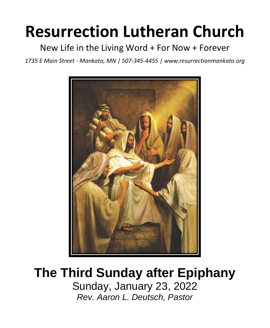# **Resurrection Lutheran Church**

New Life in the Living Word + For Now + Forever

*1735 E Main Street - Mankato, MN | 507-345-4455 | [www.resurrectionmankato.org](http://www.resurrectionmankato.org/)*



# **The Third Sunday after Epiphany**

Sunday, January 23, 2022 *Rev. Aaron L. Deutsch, Pastor*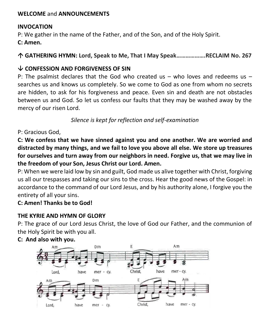#### **WELCOME** and **ANNOUNCEMENTS**

#### **INVOCATION**

P: We gather in the name of the Father, and of the Son, and of the Holy Spirit.

**C: Amen.**

**GATHERING HYMN: Lord, Speak to Me, That I May Speak……………….RECLAIM No. 267**

# **CONFESSION AND FORGIVENESS OF SIN**

P: The psalmist declares that the God who created us  $-$  who loves and redeems us  $$ searches us and knows us completely. So we come to God as one from whom no secrets are hidden, to ask for his forgiveness and peace. Even sin and death are not obstacles between us and God. So let us confess our faults that they may be washed away by the mercy of our risen Lord.

*Silence is kept for reflection and self-examination*

P: Gracious God,

**C: We confess that we have sinned against you and one another. We are worried and distracted by many things, and we fail to love you above all else. We store up treasures for ourselves and turn away from our neighbors in need. Forgive us, that we may live in the freedom of your Son, Jesus Christ our Lord. Amen.**

P: When we were laid low by sin and guilt, God made us alive together with Christ, forgiving us all our trespasses and taking our sins to the cross. Hear the good news of the Gospel: in accordance to the command of our Lord Jesus, and by his authority alone, I forgive you the entirety of all your sins.

# **C: Amen! Thanks be to God!**

# **THE KYRIE AND HYMN OF GLORY**

P: The grace of our Lord Jesus Christ, the love of God our Father, and the communion of the Holy Spirit be with you all.



#### **C: And also with you.**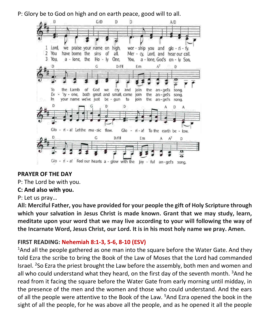P: Glory be to God on high and on earth peace, good will to all.



#### **PRAYER OF THE DAY**

P: The Lord be with you.

#### **C: And also with you.**

P: Let us pray…

**All: Merciful Father, you have provided for your people the gift of Holy Scripture through which your salvation in Jesus Christ is made known. Grant that we may study, learn, meditate upon your word that we may live according to your will following the way of the Incarnate Word, Jesus Christ, our Lord. It is in his most holy name we pray. Amen.**

#### **FIRST READING: Nehemiah 8:1-3, 5-6, 8-10 (ESV)**

 $1$ And all the people gathered as one man into the square before the Water Gate. And they told Ezra the scribe to bring the Book of the Law of Moses that the Lord had commanded Israel. <sup>2</sup>So Ezra the priest brought the Law before the assembly, both men and women and all who could understand what they heard, on the first day of the seventh month. <sup>3</sup>And he read from it facing the square before the Water Gate from early morning until midday, in the presence of the men and the women and those who could understand. And the ears of all the people were attentive to the Book of the Law. <sup>5</sup>And Ezra opened the book in the sight of all the people, for he was above all the people, and as he opened it all the people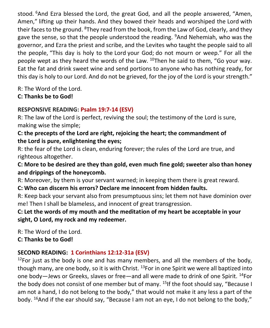stood. <sup>6</sup>And Ezra blessed the Lord, the great God, and all the people answered, "Amen, Amen," lifting up their hands. And they bowed their heads and worshiped the Lord with their faces to the ground. <sup>8</sup>They read from the book, from the Law of God, clearly, and they gave the sense, so that the people understood the reading. <sup>9</sup>And Nehemiah, who was the governor, and Ezra the priest and scribe, and the Levites who taught the people said to all the people, "This day is holy to the Lord your God; do not mourn or weep." For all the people wept as they heard the words of the Law.  $^{10}$ Then he said to them, "Go your way. Eat the fat and drink sweet wine and send portions to anyone who has nothing ready, for this day is holy to our Lord. And do not be grieved, for the joy of the Lord is your strength."

R: The Word of the Lord.

**C: Thanks be to God!** 

# **RESPONSIVE READING: Psalm 19:7-14 (ESV)**

R: The law of the Lord is perfect, reviving the soul; the testimony of the Lord is sure, making wise the simple;

# **C: the precepts of the Lord are right, rejoicing the heart; the commandment of the Lord is pure, enlightening the eyes;**

R: the fear of the Lord is clean, enduring forever; the rules of the Lord are true, and righteous altogether.

# **C: More to be desired are they than gold, even much fine gold; sweeter also than honey and drippings of the honeycomb.**

R: Moreover, by them is your servant warned; in keeping them there is great reward.

# **C: Who can discern his errors? Declare me innocent from hidden faults.**

R: Keep back your servant also from presumptuous sins; let them not have dominion over me! Then I shall be blameless, and innocent of great transgression.

# **C: Let the words of my mouth and the meditation of my heart be acceptable in your sight, O Lord, my rock and my redeemer.**

R: The Word of the Lord.

**C: Thanks be to God!** 

# **SECOND READING: 1 Corinthians 12:12-31a (ESV)**

 $12$ For just as the body is one and has many members, and all the members of the body, though many, are one body, so it is with Christ.  $^{13}$ For in one Spirit we were all baptized into one body—Jews or Greeks, slaves or free—and all were made to drink of one Spirit. <sup>14</sup>For the body does not consist of one member but of many.  $^{15}$ If the foot should say, "Because I am not a hand, I do not belong to the body," that would not make it any less a part of the body. <sup>16</sup>And if the ear should say, "Because I am not an eye, I do not belong to the body,"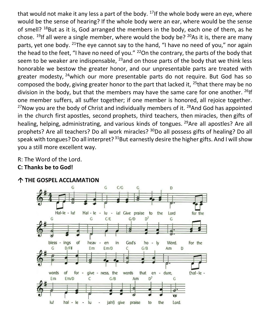that would not make it any less a part of the body.  $^{17}$  If the whole body were an eye, where would be the sense of hearing? If the whole body were an ear, where would be the sense of smell? <sup>18</sup>But as it is, God arranged the members in the body, each one of them, as he chose. <sup>19</sup>If all were a single member, where would the body be?  $20As$  it is, there are many parts, yet one body. <sup>21</sup>The eye cannot say to the hand, "I have no need of you," nor again the head to the feet, "I have no need of you."  $^{22}$ On the contrary, the parts of the body that seem to be weaker are indispensable,  $^{23}$  and on those parts of the body that we think less honorable we bestow the greater honor, and our unpresentable parts are treated with greater modesty, <sup>24</sup>which our more presentable parts do not require. But God has so composed the body, giving greater honor to the part that lacked it, <sup>25</sup>that there may be no division in the body, but that the members may have the same care for one another. <sup>26</sup>If one member suffers, all suffer together; if one member is honored, all rejoice together.  $^{27}$ Now you are the body of Christ and individually members of it.  $^{28}$ And God has appointed in the church first apostles, second prophets, third teachers, then miracles, then gifts of healing, helping, administrating, and various kinds of tongues. <sup>29</sup>Are all apostles? Are all prophets? Are all teachers? Do all work miracles? <sup>30</sup>Do all possess gifts of healing? Do all speak with tongues? Do all interpret?  $31$ But earnestly desire the higher gifts. And I will show you a still more excellent way.

R: The Word of the Lord.

**C: Thanks be to God!** 



#### **THE GOSPEL ACCLAMATION**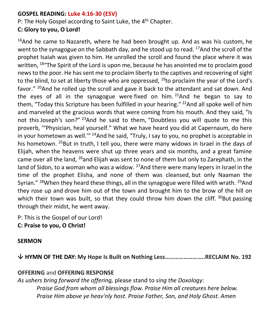#### **GOSPEL READING: Luke 4:16-30 (ESV)**

P: The Holy Gospel according to Saint Luke, the 4<sup>th</sup> Chapter.

### **C: Glory to you, O Lord!**

 $16$ And he came to Nazareth, where he had been brought up. And as was his custom, he went to the synagogue on the Sabbath day, and he stood up to read. <sup>17</sup>And the scroll of the prophet Isaiah was given to him. He unrolled the scroll and found the place where it was written, <sup>18</sup> The Spirit of the Lord is upon me, because he has anointed me to proclaim good news to the poor. He has sent me to proclaim liberty to the captives and recovering of sight to the blind, to set at liberty those who are oppressed,  $^{19}$ to proclaim the year of the Lord's favor." <sup>20</sup>And he rolled up the scroll and gave it back to the attendant and sat down. And the eyes of all in the synagogue were fixed on him.  $21$ And he began to say to them, "Today this Scripture has been fulfilled in your hearing."  $^{22}$ And all spoke well of him and marveled at the gracious words that were coming from his mouth. And they said, "Is not this Joseph's son?" <sup>23</sup>And he said to them, "Doubtless you will quote to me this proverb, '"Physician, heal yourself." What we have heard you did at Capernaum, do here in your hometown as well."<sup>24</sup> And he said, "Truly, I say to you, no prophet is acceptable in his hometown. <sup>25</sup>But in truth, I tell you, there were many widows in Israel in the days of Elijah, when the heavens were shut up three years and six months, and a great famine came over all the land, <sup>26</sup>and Elijah was sent to none of them but only to Zarephath, in the land of Sidon, to a woman who was a widow.  $27$  And there were many lepers in Israel in the time of the prophet Elisha, and none of them was cleansed, but only Naaman the Syrian." <sup>28</sup>When they heard these things, all in the synagogue were filled with wrath. <sup>29</sup>And they rose up and drove him out of the town and brought him to the brow of the hill on which their town was built, so that they could throw him down the cliff.  $30$ But passing through their midst, he went away.

P: This is the Gospel of our Lord! **C: Praise to you, O Christ!** 

#### **SERMON**

**HYMN OF THE DAY: My Hope Is Built on Nothing Less……………………..RECLAIM No. 192**

# **OFFERING** and **OFFERING RESPONSE**

*As ushers bring forward the offering,* please stand to *sing the Doxology: Praise God from whom all blessings flow. Praise Him all creatures here below. Praise Him above ye heav'nly host. Praise Father, Son, and Holy Ghost. Amen*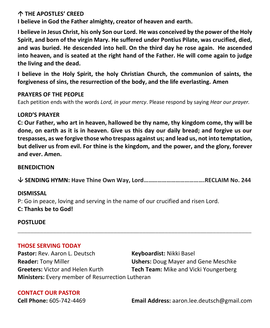#### **THE APOSTLES' CREED**

**I believe in God the Father almighty, creator of heaven and earth.**

**I believe in Jesus Christ, his only Son our Lord. He was conceived by the power of the Holy Spirit, and born of the virgin Mary. He suffered under Pontius Pilate, was crucified, died, and was buried. He descended into hell. On the third day he rose again. He ascended into heaven, and is seated at the right hand of the Father. He will come again to judge the living and the dead.**

**I believe in the Holy Spirit, the holy Christian Church, the communion of saints, the forgiveness of sins, the resurrection of the body, and the life everlasting. Amen**

#### **PRAYERS OF THE PEOPLE**

Each petition ends with the words *Lord, in your mercy*. Please respond by saying *Hear our prayer.*

#### **LORD'S PRAYER**

**C: Our Father, who art in heaven, hallowed be thy name, thy kingdom come, thy will be done, on earth as it is in heaven. Give us this day our daily bread; and forgive us our trespasses, as we forgive those who trespass against us; and lead us, not into temptation, but deliver us from evil. For thine is the kingdom, and the power, and the glory, forever and ever. Amen.**

#### **BENEDICTION**

**SENDING HYMN: Have Thine Own Way, Lord………………………………….RECLAIM No. 244**

**\_\_\_\_\_\_\_\_\_\_\_\_\_\_\_\_\_\_\_\_\_\_\_\_\_\_\_\_\_\_\_\_\_\_\_\_\_\_\_\_\_\_\_\_\_\_\_\_\_\_\_\_\_\_\_\_\_\_\_\_\_\_\_\_\_\_\_\_\_\_\_\_\_**

#### **DISMISSAL**

P: Go in peace, loving and serving in the name of our crucified and risen Lord. **C: Thanks be to God!**

#### **POSTLUDE**

#### **THOSE SERVING TODAY**

Pastor: Rev. Aaron L. Deutsch **Keyboardist:** Nikki Basel **Reader:** Tony Miller **Ushers:** Doug Mayer and Gene Meschke **Greeters:** Victor and Helen Kurth **Tech Team:** Mike and Vicki Youngerberg **Ministers:** Every member of Resurrection Lutheran

#### **CONTACT OUR PASTOR**

**Cell Phone:** 605-742-4469 **Email Address:** [aaron.lee.deutsch@gmail.com](mailto:aaron.lee.deutsch@gmail.com)